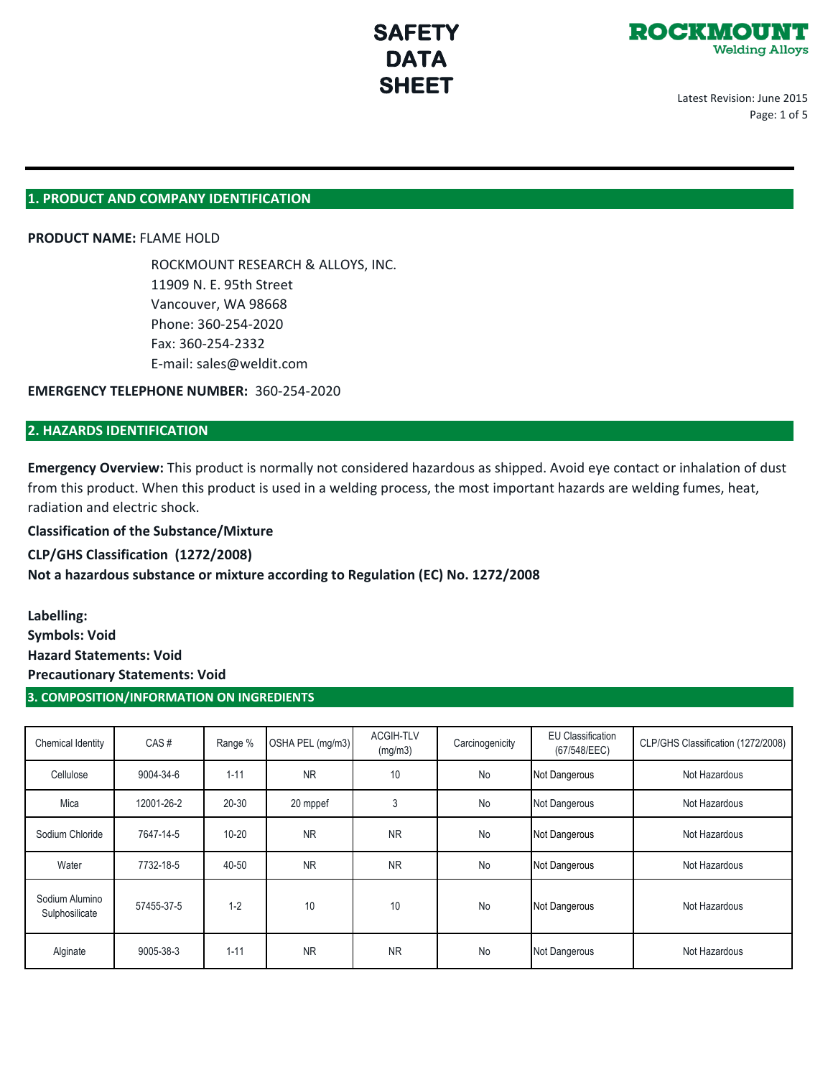

Latest Revision: June 2015 Page: 1 of 5

## **1. PRODUCT AND COMPANY IDENTIFICATION**

## **PRODUCT NAME:** FLAME HOLD

ROCKMOUNT RESEARCH & ALLOYS, INC. 11909 N. E. 95th Street Vancouver, WA 98668 Phone: 360-254-2020 Fax: 360-254-2332 E-mail: sales@weldit.com

**EMERGENCY TELEPHONE NUMBER:** 360-254-2020

## **2. HAZARDS IDENTIFICATION**

**Emergency Overview:** This product is normally not considered hazardous as shipped. Avoid eye contact or inhalation of dust from this product. When this product is used in a welding process, the most important hazards are welding fumes, heat, radiation and electric shock.

**Classification of the Substance/Mixture**

**CLP/GHS Classification (1272/2008) Not a hazardous substance or mixture according to Regulation (EC) No. 1272/2008**

**Labelling: Symbols: Void Hazard Statements: Void Precautionary Statements: Void**

## **3. COMPOSITION/INFORMATION ON INGREDIENTS**

| Chemical Identity                | CAS#       | Range %   | OSHA PEL (mg/m3) | <b>ACGIH-TLV</b><br>(mg/m3) | Carcinogenicity | <b>EU Classification</b><br>(67/548/EEC) | CLP/GHS Classification (1272/2008) |
|----------------------------------|------------|-----------|------------------|-----------------------------|-----------------|------------------------------------------|------------------------------------|
| Cellulose                        | 9004-34-6  | $1 - 11$  | <b>NR</b>        | 10                          | No              | Not Dangerous                            | Not Hazardous                      |
| Mica                             | 12001-26-2 | $20 - 30$ | 20 mppef         | 3                           | No              | Not Dangerous                            | Not Hazardous                      |
| Sodium Chloride                  | 7647-14-5  | $10 - 20$ | <b>NR</b>        | <b>NR</b>                   | No              | Not Dangerous                            | Not Hazardous                      |
| Water                            | 7732-18-5  | 40-50     | <b>NR</b>        | <b>NR</b>                   | No              | Not Dangerous                            | Not Hazardous                      |
| Sodium Alumino<br>Sulphosilicate | 57455-37-5 | $1 - 2$   | 10               | 10                          | No              | Not Dangerous                            | Not Hazardous                      |
| Alginate                         | 9005-38-3  | $1 - 11$  | <b>NR</b>        | <b>NR</b>                   | No              | Not Dangerous                            | Not Hazardous                      |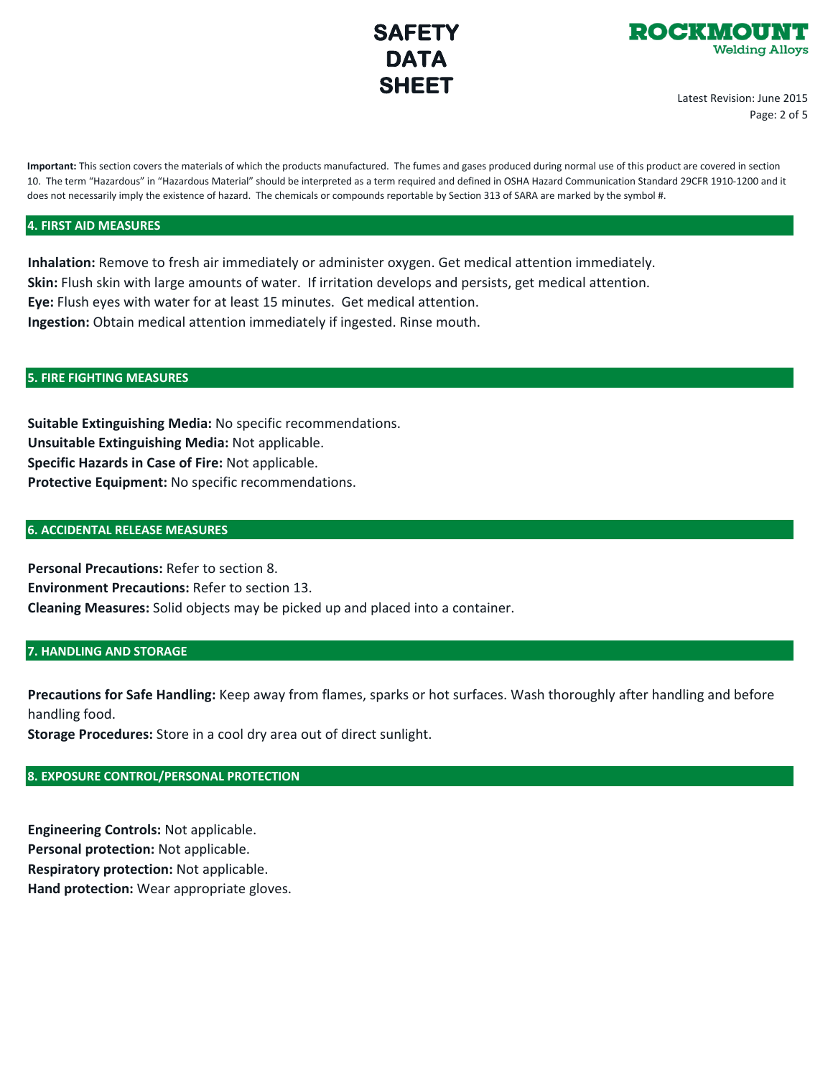



Latest Revision: June 2015 Page: 2 of 5

**Important:** This section covers the materials of which the products manufactured. The fumes and gases produced during normal use of this product are covered in section 10. The term "Hazardous" in "Hazardous Material" should be interpreted as a term required and defined in OSHA Hazard Communication Standard 29CFR 1910-1200 and it does not necessarily imply the existence of hazard. The chemicals or compounds reportable by Section 313 of SARA are marked by the symbol #.

### **4. FIRST AID MEASURES**

**Inhalation:** Remove to fresh air immediately or administer oxygen. Get medical attention immediately. **Skin:** Flush skin with large amounts of water. If irritation develops and persists, get medical attention. **Eye:** Flush eyes with water for at least 15 minutes. Get medical attention. **Ingestion:** Obtain medical attention immediately if ingested. Rinse mouth.

#### **5. FIRE FIGHTING MEASURES**

**Suitable Extinguishing Media:** No specific recommendations. **Unsuitable Extinguishing Media:** Not applicable. **Specific Hazards in Case of Fire:** Not applicable. **Protective Equipment:** No specific recommendations.

#### **6. ACCIDENTAL RELEASE MEASURES**

**Personal Precautions:** Refer to section 8. **Environment Precautions:** Refer to section 13. **Cleaning Measures:** Solid objects may be picked up and placed into a container.

### **7. HANDLING AND STORAGE**

**Precautions for Safe Handling:** Keep away from flames, sparks or hot surfaces. Wash thoroughly after handling and before handling food.

**Storage Procedures:** Store in a cool dry area out of direct sunlight.

## **8. EXPOSURE CONTROL/PERSONAL PROTECTION**

**Engineering Controls:** Not applicable. **Personal protection:** Not applicable. **Respiratory protection:** Not applicable. **Hand protection:** Wear appropriate gloves.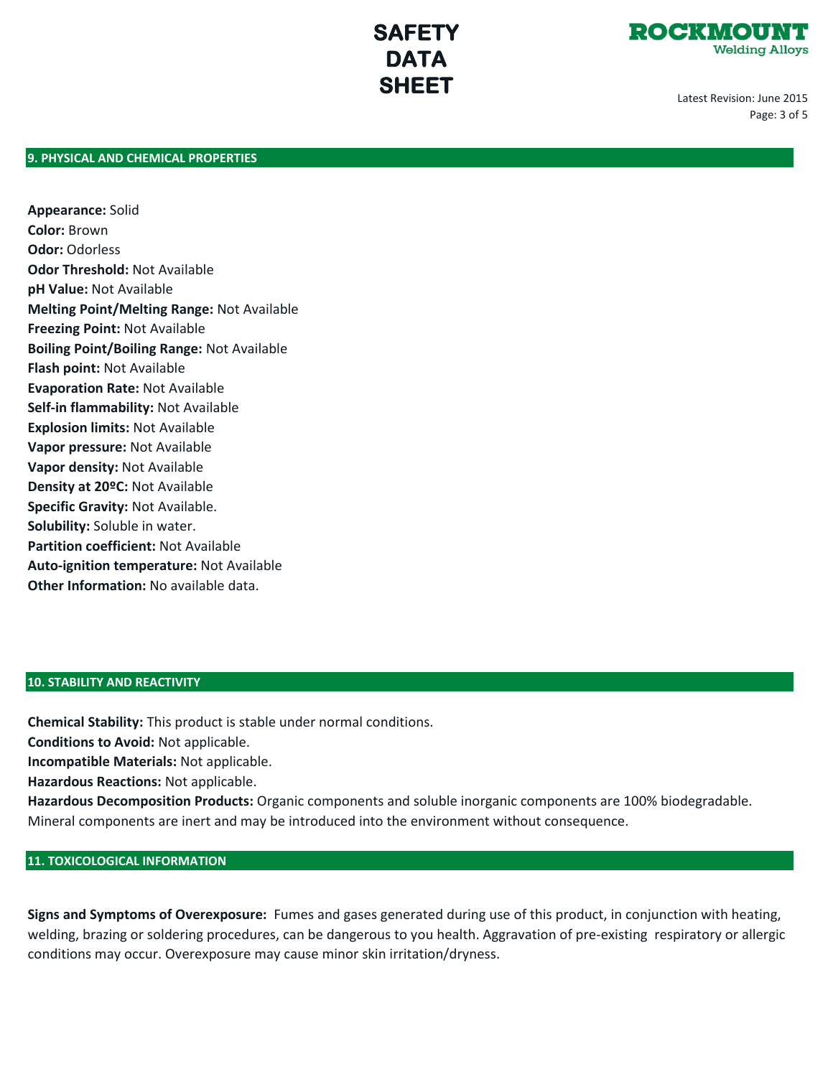

Latest Revision: June 2015 Page: 3 of 5

## **9. PHYSICAL AND CHEMICAL PROPERTIES**

**Appearance:** Solid **Color:** Brown **Odor:** Odorless **Odor Threshold:** Not Available **pH Value:** Not Available **Melting Point/Melting Range:** Not Available **Freezing Point:** Not Available **Boiling Point/Boiling Range:** Not Available **Flash point:** Not Available **Evaporation Rate:** Not Available **Self-in flammability:** Not Available **Explosion limits:** Not Available **Vapor pressure:** Not Available **Vapor density:** Not Available **Density at 20ºC:** Not Available **Specific Gravity:** Not Available. **Solubility:** Soluble in water. **Partition coefficient:** Not Available **Auto-ignition temperature:** Not Available **Other Information:** No available data.

## **10. STABILITY AND REACTIVITY**

**Chemical Stability:** This product is stable under normal conditions.

**Conditions to Avoid:** Not applicable.

**Incompatible Materials:** Not applicable.

**Hazardous Reactions:** Not applicable.

**Hazardous Decomposition Products:** Organic components and soluble inorganic components are 100% biodegradable. Mineral components are inert and may be introduced into the environment without consequence.

## **11. TOXICOLOGICAL INFORMATION**

**Signs and Symptoms of Overexposure:** Fumes and gases generated during use of this product, in conjunction with heating, welding, brazing or soldering procedures, can be dangerous to you health. Aggravation of pre-existing respiratory or allergic conditions may occur. Overexposure may cause minor skin irritation/dryness.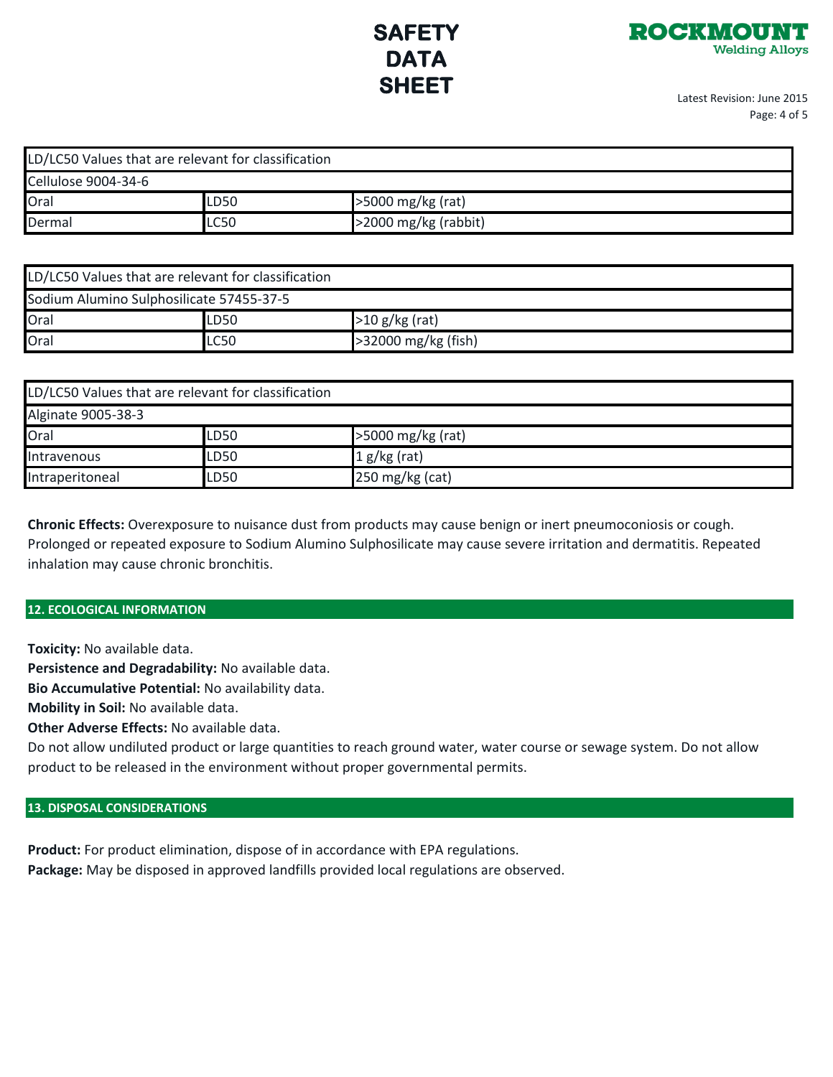

Latest Revision: June 2015 Page: 4 of 5

| LD/LC50 Values that are relevant for classification |                           |                      |  |  |  |  |
|-----------------------------------------------------|---------------------------|----------------------|--|--|--|--|
| Cellulose 9004-34-6                                 |                           |                      |  |  |  |  |
| Oral                                                | >5000 mg/kg (rat)<br>LD50 |                      |  |  |  |  |
| Dermal                                              | LC50                      | >2000 mg/kg (rabbit) |  |  |  |  |

| LD/LC50 Values that are relevant for classification |             |                     |  |  |  |
|-----------------------------------------------------|-------------|---------------------|--|--|--|
| Sodium Alumino Sulphosilicate 57455-37-5            |             |                     |  |  |  |
| Oral                                                | LD50        | $>10 g/kg$ (rat)    |  |  |  |
| Oral                                                | <b>LC50</b> | >32000 mg/kg (fish) |  |  |  |

| LD/LC50 Values that are relevant for classification |      |                   |  |  |  |
|-----------------------------------------------------|------|-------------------|--|--|--|
| Alginate 9005-38-3                                  |      |                   |  |  |  |
| Oral                                                | LD50 | >5000 mg/kg (rat) |  |  |  |
| Intravenous                                         | LD50 | $1 g/kg$ (rat)    |  |  |  |
| Intraperitoneal                                     | LD50 | 250 mg/kg (cat)   |  |  |  |

**Chronic Effects:** Overexposure to nuisance dust from products may cause benign or inert pneumoconiosis or cough. Prolonged or repeated exposure to Sodium Alumino Sulphosilicate may cause severe irritation and dermatitis. Repeated inhalation may cause chronic bronchitis.

## **12. ECOLOGICAL INFORMATION**

**Toxicity:** No available data.

**Persistence and Degradability:** No available data.

**Bio Accumulative Potential:** No availability data.

**Mobility in Soil:** No available data.

**Other Adverse Effects:** No available data.

Do not allow undiluted product or large quantities to reach ground water, water course or sewage system. Do not allow product to be released in the environment without proper governmental permits.

## **13. DISPOSAL CONSIDERATIONS**

**Product:** For product elimination, dispose of in accordance with EPA regulations. **Package:** May be disposed in approved landfills provided local regulations are observed.